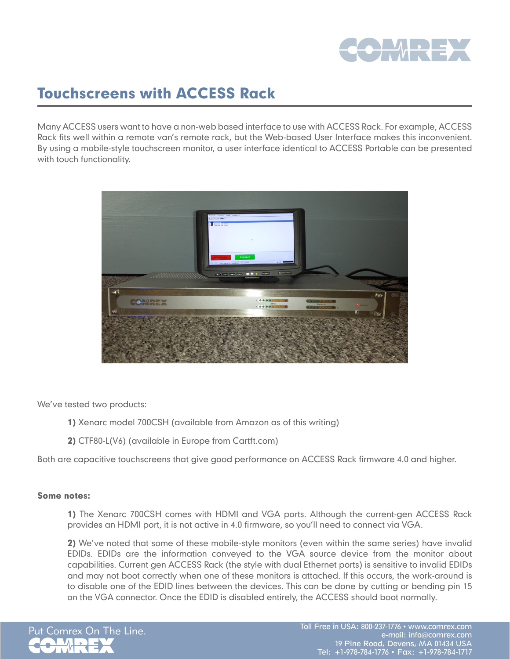

## Touchscreens with ACCESS Rack

Many ACCESS users want to have a non-web based interface to use with ACCESS Rack. For example, ACCESS Rack fits well within a remote van's remote rack, but the Web-based User Interface makes this inconvenient. By using a mobile-style touchscreen monitor, a user interface identical to ACCESS Portable can be presented with touch functionality.



We've tested two products:

- 1) Xenarc model 700CSH (available from Amazon as of this writing)
- 2) CTF80-L(V6) (available in Europe from Cartft.com)

Both are capacitive touchscreens that give good performance on ACCESS Rack firmware 4.0 and higher.

## Some notes:

1) The Xenarc 700CSH comes with HDMI and VGA ports. Although the current-gen ACCESS Rack provides an HDMI port, it is not active in 4.0 firmware, so you'll need to connect via VGA.

2) We've noted that some of these mobile-style monitors (even within the same series) have invalid EDIDs. EDIDs are the information conveyed to the VGA source device from the monitor about capabilities. Current gen ACCESS Rack (the style with dual Ethernet ports) is sensitive to invalid EDIDs and may not boot correctly when one of these monitors is attached. If this occurs, the work-around is to disable one of the EDID lines between the devices. This can be done by cutting or bending pin 15 on the VGA connector. Once the EDID is disabled entirely, the ACCESS should boot normally.